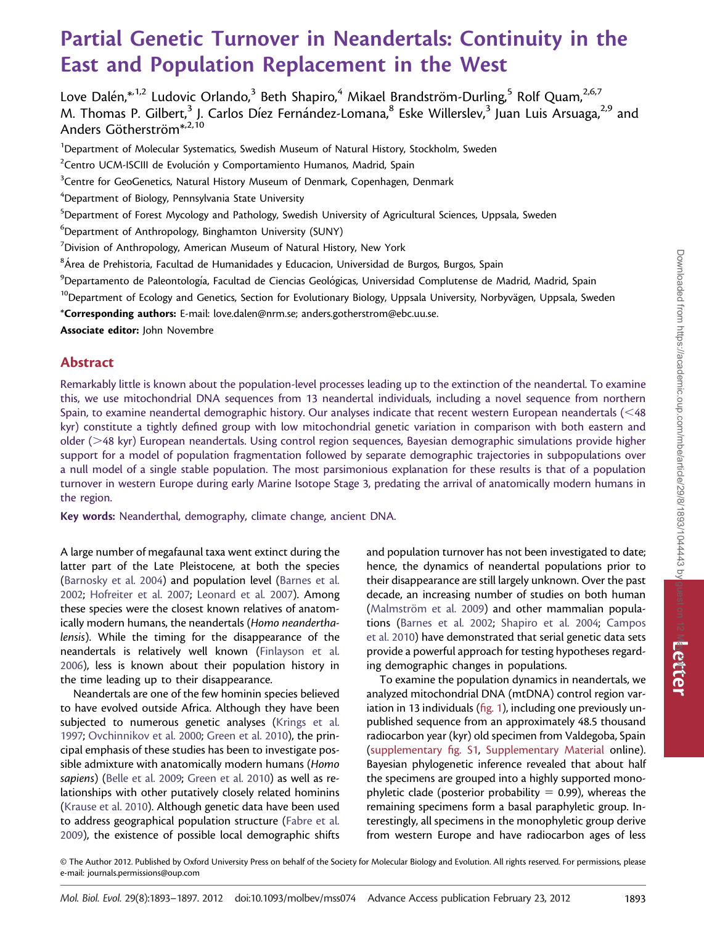# Partial Genetic Turnover in Neandertals: Continuity in the East and Population Replacement in the West

Love Dalén, $*1,2}$  Ludovic Orlando,<sup>3</sup> Beth Shapiro,<sup>4</sup> Mikael Brandström-Durling,<sup>5</sup> Rolf Quam,<sup>2,6,7</sup> M. Thomas P. Gilbert,<sup>3</sup> J. Carlos Díez Fernández-Lomana,<sup>8</sup> Eske Willerslev,<sup>3</sup> Juan Luis Arsuaga,<sup>2,9</sup> and Anders Götherström<sup>\*,2,10</sup>

<sup>1</sup>Department of Molecular Systematics, Swedish Museum of Natural History, Stockholm, Sweden

 $2$ Centro UCM-ISCIII de Evolución y Comportamiento Humanos, Madrid, Spain

<sup>3</sup>Centre for GeoGenetics, Natural History Museum of Denmark, Copenhagen, Denmark

4 Department of Biology, Pennsylvania State University

<sup>5</sup>Department of Forest Mycology and Pathology, Swedish University of Agricultural Sciences, Uppsala, Sweden

6 Department of Anthropology, Binghamton University (SUNY)

 $^7$ Division of Anthropology, American Museum of Natural History, New York

 $^{\rm 8}$ Área de Prehistoria, Facultad de Humanidades y Educacion, Universidad de Burgos, Burgos, Spain

<sup>9</sup>Departamento de Paleontología, Facultad de Ciencias Geológicas, Universidad Complutense de Madrid, Madrid, Spain

<sup>10</sup>Department of Ecology and Genetics, Section for Evolutionary Biology, Uppsala University, Norbyvägen, Uppsala, Sweden

\*Corresponding authors: E-mail: love.dalen@nrm.se; anders.gotherstrom@ebc.uu.se.

Associate editor: John Novembre

### Abstract

Remarkably little is known about the population-level processes leading up to the extinction of the neandertal. To examine this, we use mitochondrial DNA sequences from 13 neandertal individuals, including a novel sequence from northern Spain, to examine neandertal demographic history. Our analyses indicate that recent western European neandertals  $\leq 48$ kyr) constitute a tightly defined group with low mitochondrial genetic variation in comparison with both eastern and older (>48 kyr) European neandertals. Using control region sequences, Bayesian demographic simulations provide higher support for a model of population fragmentation followed by separate demographic trajectories in subpopulations over a null model of a single stable population. The most parsimonious explanation for these results is that of a population turnover in western Europe during early Marine Isotope Stage 3, predating the arrival of anatomically modern humans in the region.

Key words: Neanderthal, demography, climate change, ancient DNA.

A large number of megafaunal taxa went extinct during the latter part of the Late Pleistocene, at both the species [\(Barnosky et al. 2004](#page-3-0)) and population level ([Barnes et al.](#page-3-0) [2002](#page-3-0); [Hofreiter et al. 2007;](#page-3-0) [Leonard et al. 2007\)](#page-3-0). Among these species were the closest known relatives of anatomically modern humans, the neandertals (Homo neanderthalensis). While the timing for the disappearance of the neandertals is relatively well known ([Finlayson et al.](#page-3-0) [2006](#page-3-0)), less is known about their population history in the time leading up to their disappearance.

Neandertals are one of the few hominin species believed to have evolved outside Africa. Although they have been subjected to numerous genetic analyses ([Krings et al.](#page-3-0) [1997](#page-3-0); [Ovchinnikov et al. 2000](#page-4-0); [Green et al. 2010](#page-3-0)), the principal emphasis of these studies has been to investigate possible admixture with anatomically modern humans (Homo sapiens) ([Belle et al. 2009;](#page-3-0) [Green et al. 2010](#page-3-0)) as well as relationships with other putatively closely related hominins [\(Krause et al. 2010\)](#page-3-0). Although genetic data have been used to address geographical population structure ([Fabre et al.](#page-3-0) [2009](#page-3-0)), the existence of possible local demographic shifts and population turnover has not been investigated to date; hence, the dynamics of neandertal populations prior to their disappearance are still largely unknown. Over the past decade, an increasing number of studies on both human (Malmström et al. 2009) and other mammalian populations ([Barnes et al. 2002;](#page-3-0) [Shapiro et al. 2004;](#page-4-0) [Campos](#page-3-0) [et al. 2010\)](#page-3-0) have demonstrated that serial genetic data sets provide a powerful approach for testing hypotheses regarding demographic changes in populations.

To examine the population dynamics in neandertals, we analyzed mitochondrial DNA (mtDNA) control region variation in 13 individuals (fig. 1), including one previously unpublished sequence from an approximately 48.5 thousand radiocarbon year (kyr) old specimen from Valdegoba, Spain [\(supplementary fig. S1,](http://www.mbe.oxfordjournals.org/lookup/suppl/doi:10.1093/molbev/mss074/-/DC1) [Supplementary Material](http://www.mbe.oxfordjournals.org/lookup/suppl/doi:10.1093/molbev/mss074/-/DC1) online). Bayesian phylogenetic inference revealed that about half the specimens are grouped into a highly supported monophyletic clade (posterior probability  $= 0.99$ ), whereas the remaining specimens form a basal paraphyletic group. Interestingly, all specimens in the monophyletic group derive from western Europe and have radiocarbon ages of less

© The Author 2012. Published by Oxford University Press on behalf of the Society for Molecular Biology and Evolution. All rights reserved. For permissions, please e-mail: journals.permissions@oup.com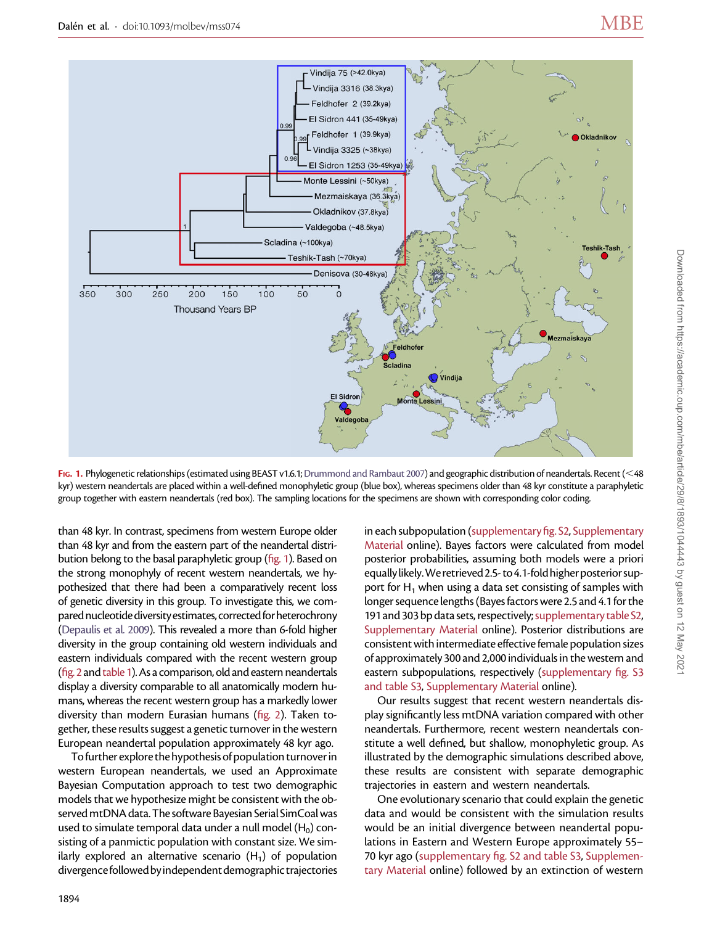

FIG. 1. Phylogenetic relationships (estimated using BEAST v1.6.1; [Drummond and Rambaut 2007](#page-3-0)) and geographic distribution of neandertals. Recent (<48 kyr) western neandertals are placed within a well-defined monophyletic group (blue box), whereas specimens older than 48 kyr constitute a paraphyletic group together with eastern neandertals (red box). The sampling locations for the specimens are shown with corresponding color coding.

than 48 kyr. In contrast, specimens from western Europe older than 48 kyr and from the eastern part of the neandertal distribution belong to the basal paraphyletic group (fig. 1). Based on the strong monophyly of recent western neandertals, we hypothesized that there had been a comparatively recent loss of genetic diversity in this group. To investigate this, we compared nucleotide diversity estimates, corrected for heterochrony [\(Depaulis et al. 2009](#page-3-0)). This revealed a more than 6-fold higher diversity in the group containing old western individuals and eastern individuals compared with the recent western group ( $fig. 2$  and table 1). As a comparison, old and eastern neandertals display a diversity comparable to all anatomically modern humans, whereas the recent western group has a markedly lower diversity than modern Eurasian humans (fig. 2). Taken together, these results suggest a genetic turnover in the western European neandertal population approximately 48 kyr ago.

To further explore the hypothesis of population turnover in western European neandertals, we used an Approximate Bayesian Computation approach to test two demographic models that we hypothesize might be consistent with the observed mtDNA data. The software Bayesian Serial SimCoal was used to simulate temporal data under a null model  $(H_0)$  consisting of a panmictic population with constant size. We similarly explored an alternative scenario  $(H_1)$  of population divergence followed by independent demographic trajectories in each subpopulation [\(supplementary fig. S2](http://www.mbe.oxfordjournals.org/lookup/suppl/doi:10.1093/molbev/mss074/-/DC1), [Supplementary](http://www.mbe.oxfordjournals.org/lookup/suppl/doi:10.1093/molbev/mss074/-/DC1) [Material](http://www.mbe.oxfordjournals.org/lookup/suppl/doi:10.1093/molbev/mss074/-/DC1) online). Bayes factors were calculated from model posterior probabilities, assuming both models were a priori equally likely. We retrieved 2.5-to 4.1-fold higher posterior support for  $H_1$  when using a data set consisting of samples with longer sequence lengths (Bayes factors were 2.5 and 4.1 for the 191 and 303 bp data sets, respectively;[supplementary table S2](http://www.mbe.oxfordjournals.org/lookup/suppl/doi:10.1093/molbev/mss074/-/DC1), [Supplementary Material](http://www.mbe.oxfordjournals.org/lookup/suppl/doi:10.1093/molbev/mss074/-/DC1) online). Posterior distributions are consistent with intermediate effective female population sizes of approximately 300 and 2,000 individuals in the western and eastern subpopulations, respectively [\(supplementary fig. S3](http://www.mbe.oxfordjournals.org/lookup/suppl/doi:10.1093/molbev/mss074/-/DC1) [and table S3,](http://www.mbe.oxfordjournals.org/lookup/suppl/doi:10.1093/molbev/mss074/-/DC1) [Supplementary Material](http://www.mbe.oxfordjournals.org/lookup/suppl/doi:10.1093/molbev/mss074/-/DC1) online).

Our results suggest that recent western neandertals display significantly less mtDNA variation compared with other neandertals. Furthermore, recent western neandertals constitute a well defined, but shallow, monophyletic group. As illustrated by the demographic simulations described above, these results are consistent with separate demographic trajectories in eastern and western neandertals.

One evolutionary scenario that could explain the genetic data and would be consistent with the simulation results would be an initial divergence between neandertal populations in Eastern and Western Europe approximately 55– 70 kyr ago ([supplementary fig. S2 and table S3](http://www.mbe.oxfordjournals.org/lookup/suppl/doi:10.1093/molbev/mss074/-/DC1), [Supplemen](http://www.mbe.oxfordjournals.org/lookup/suppl/doi:10.1093/molbev/mss074/-/DC1)[tary Material](http://www.mbe.oxfordjournals.org/lookup/suppl/doi:10.1093/molbev/mss074/-/DC1) online) followed by an extinction of western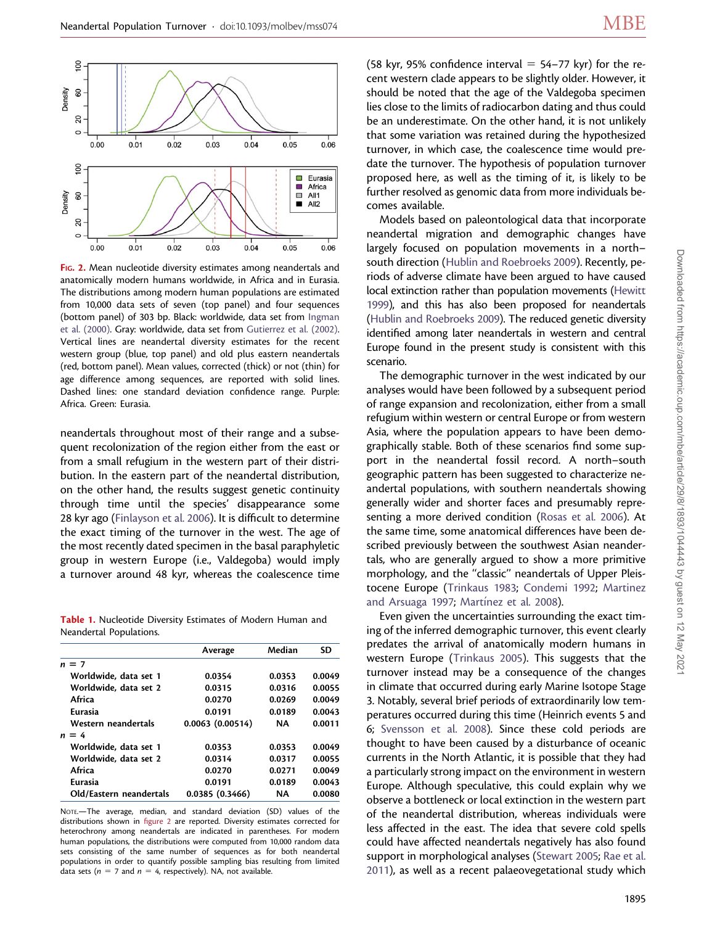

FIG. 2. Mean nucleotide diversity estimates among neandertals and anatomically modern humans worldwide, in Africa and in Eurasia. The distributions among modern human populations are estimated from 10,000 data sets of seven (top panel) and four sequences (bottom panel) of 303 bp. Black: worldwide, data set from [Ingman](#page-3-0) [et al. \(2000\).](#page-3-0) Gray: worldwide, data set from [Gutierrez et al. \(2002\).](#page-3-0) Vertical lines are neandertal diversity estimates for the recent western group (blue, top panel) and old plus eastern neandertals (red, bottom panel). Mean values, corrected (thick) or not (thin) for age difference among sequences, are reported with solid lines. Dashed lines: one standard deviation confidence range. Purple: Africa. Green: Eurasia.

neandertals throughout most of their range and a subsequent recolonization of the region either from the east or from a small refugium in the western part of their distribution. In the eastern part of the neandertal distribution, on the other hand, the results suggest genetic continuity through time until the species' disappearance some 28 kyr ago [\(Finlayson et al. 2006\)](#page-3-0). It is difficult to determine the exact timing of the turnover in the west. The age of the most recently dated specimen in the basal paraphyletic group in western Europe (i.e., Valdegoba) would imply a turnover around 48 kyr, whereas the coalescence time

Table 1. Nucleotide Diversity Estimates of Modern Human and Neandertal Populations.

|                         | Average         | Median    | SD     |
|-------------------------|-----------------|-----------|--------|
| $n = 7$                 |                 |           |        |
| Worldwide, data set 1   | 0.0354          | 0.0353    | 0.0049 |
| Worldwide, data set 2   | 0.0315          | 0.0316    | 0.0055 |
| Africa                  | 0.0270          | 0.0269    | 0.0049 |
| Eurasia                 | 0.0191          | 0.0189    | 0.0043 |
| Western neandertals     | 0.0063(0.00514) | <b>NA</b> | 0.0011 |
| $n = 4$                 |                 |           |        |
| Worldwide, data set 1   | 0.0353          | 0.0353    | 0.0049 |
| Worldwide, data set 2   | 0.0314          | 0.0317    | 0.0055 |
| Africa                  | 0.0270          | 0.0271    | 0.0049 |
| Eurasia                 | 0.0191          | 0.0189    | 0.0043 |
| Old/Eastern neandertals | 0.0385(0.3466)  | ΝA        | 0.0080 |

NOTE.—The average, median, and standard deviation (SD) values of the distributions shown in figure 2 are reported. Diversity estimates corrected for heterochrony among neandertals are indicated in parentheses. For modern human populations, the distributions were computed from 10,000 random data sets consisting of the same number of sequences as for both neandertal populations in order to quantify possible sampling bias resulting from limited data sets ( $n = 7$  and  $n = 4$ , respectively). NA, not available.

(58 kyr, 95% confidence interval  $= 54-77$  kyr) for the recent western clade appears to be slightly older. However, it should be noted that the age of the Valdegoba specimen lies close to the limits of radiocarbon dating and thus could be an underestimate. On the other hand, it is not unlikely that some variation was retained during the hypothesized turnover, in which case, the coalescence time would predate the turnover. The hypothesis of population turnover proposed here, as well as the timing of it, is likely to be further resolved as genomic data from more individuals becomes available.

Models based on paleontological data that incorporate neandertal migration and demographic changes have largely focused on population movements in a north– south direction [\(Hublin and Roebroeks 2009](#page-3-0)). Recently, periods of adverse climate have been argued to have caused local extinction rather than population movements [\(Hewitt](#page-3-0) [1999\)](#page-3-0), and this has also been proposed for neandertals [\(Hublin and Roebroeks 2009](#page-3-0)). The reduced genetic diversity identified among later neandertals in western and central Europe found in the present study is consistent with this scenario.

The demographic turnover in the west indicated by our analyses would have been followed by a subsequent period of range expansion and recolonization, either from a small refugium within western or central Europe or from western Asia, where the population appears to have been demographically stable. Both of these scenarios find some support in the neandertal fossil record. A north–south geographic pattern has been suggested to characterize neandertal populations, with southern neandertals showing generally wider and shorter faces and presumably representing a more derived condition [\(Rosas et al. 2006\)](#page-4-0). At the same time, some anatomical differences have been described previously between the southwest Asian neandertals, who are generally argued to show a more primitive morphology, and the ''classic'' neandertals of Upper Pleistocene Europe [\(Trinkaus 1983;](#page-4-0) [Condemi 1992;](#page-3-0) [Martinez](#page-3-0) [and Arsuaga 1997;](#page-3-0) Martínez et al. 2008).

Even given the uncertainties surrounding the exact timing of the inferred demographic turnover, this event clearly predates the arrival of anatomically modern humans in western Europe [\(Trinkaus 2005\)](#page-4-0). This suggests that the turnover instead may be a consequence of the changes in climate that occurred during early Marine Isotope Stage 3. Notably, several brief periods of extraordinarily low temperatures occurred during this time (Heinrich events 5 and 6; [Svensson et al. 2008](#page-4-0)). Since these cold periods are thought to have been caused by a disturbance of oceanic currents in the North Atlantic, it is possible that they had a particularly strong impact on the environment in western Europe. Although speculative, this could explain why we observe a bottleneck or local extinction in the western part of the neandertal distribution, whereas individuals were less affected in the east. The idea that severe cold spells could have affected neandertals negatively has also found support in morphological analyses ([Stewart 2005](#page-4-0); [Rae et al.](#page-4-0) [2011](#page-4-0)), as well as a recent palaeovegetational study which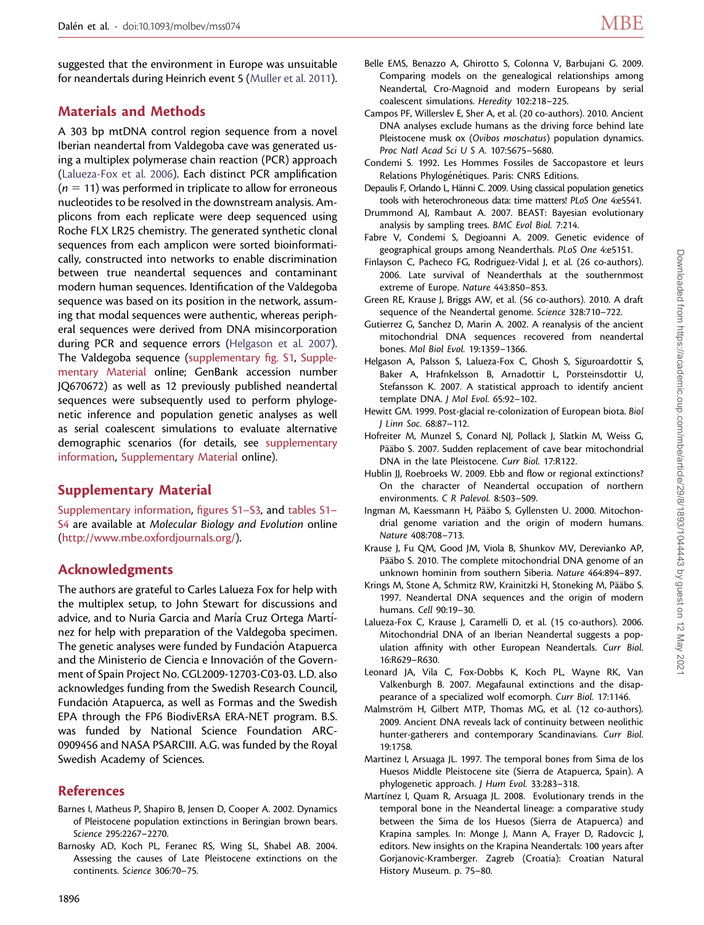<span id="page-3-0"></span>suggested that the environment in Europe was unsuitable for neandertals during Heinrich event 5 [\(Muller et al. 2011](#page-4-0)).

## Materials and Methods

A 303 bp mtDNA control region sequence from a novel Iberian neandertal from Valdegoba cave was generated using a multiplex polymerase chain reaction (PCR) approach (Lalueza-Fox et al. 2006). Each distinct PCR amplification  $(n = 11)$  was performed in triplicate to allow for erroneous nucleotides to be resolved in the downstream analysis. Amplicons from each replicate were deep sequenced using Roche FLX LR25 chemistry. The generated synthetic clonal sequences from each amplicon were sorted bioinformatically, constructed into networks to enable discrimination between true neandertal sequences and contaminant modern human sequences. Identification of the Valdegoba sequence was based on its position in the network, assuming that modal sequences were authentic, whereas peripheral sequences were derived from DNA misincorporation during PCR and sequence errors (Helgason et al. 2007). The Valdegoba sequence ([supplementary fig. S1,](http://www.mbe.oxfordjournals.org/lookup/suppl/doi:10.1093/molbev/mss074/-/DC1) [Supple](http://www.mbe.oxfordjournals.org/lookup/suppl/doi:10.1093/molbev/mss074/-/DC1)[mentary Material](http://www.mbe.oxfordjournals.org/lookup/suppl/doi:10.1093/molbev/mss074/-/DC1) online; GenBank accession number JQ670672) as well as 12 previously published neandertal sequences were subsequently used to perform phylogenetic inference and population genetic analyses as well as serial coalescent simulations to evaluate alternative demographic scenarios (for details, see [supplementary](http://www.mbe.oxfordjournals.org/lookup/suppl/doi:10.1093/molbev/mss074/-/DC1) [information](http://www.mbe.oxfordjournals.org/lookup/suppl/doi:10.1093/molbev/mss074/-/DC1), [Supplementary Material](http://www.mbe.oxfordjournals.org/lookup/suppl/doi:10.1093/molbev/mss074/-/DC1) online).

## Supplementary Material

[Supplementary information,](http://www.mbe.oxfordjournals.org/lookup/suppl/doi:10.1093/molbev/mss074/-/DC1) [figures S1–S3](http://www.mbe.oxfordjournals.org/lookup/suppl/doi:10.1093/molbev/mss074/-/DC1), and [tables S1–](http://www.mbe.oxfordjournals.org/lookup/suppl/doi:10.1093/molbev/mss074/-/DC1) [S4](http://www.mbe.oxfordjournals.org/lookup/suppl/doi:10.1093/molbev/mss074/-/DC1) are available at Molecular Biology and Evolution online [\(http://www.mbe.oxfordjournals.org/](http://www.mbe.oxfordjournals.org/)).

#### Acknowledgments

The authors are grateful to Carles Lalueza Fox for help with the multiplex setup, to John Stewart for discussions and advice, and to Nuria Garcia and María Cruz Ortega Martínez for help with preparation of the Valdegoba specimen. The genetic analyses were funded by Fundación Atapuerca and the Ministerio de Ciencia e Innovación of the Government of Spain Project No. CGL2009-12703-C03-03. L.D. also acknowledges funding from the Swedish Research Council, Fundación Atapuerca, as well as Formas and the Swedish EPA through the FP6 BiodivERsA ERA-NET program. B.S. was funded by National Science Foundation ARC-0909456 and NASA PSARCIII. A.G. was funded by the Royal Swedish Academy of Sciences.

#### References

- Barnes I, Matheus P, Shapiro B, Jensen D, Cooper A. 2002. Dynamics of Pleistocene population extinctions in Beringian brown bears. Science 295:2267–2270.
- Barnosky AD, Koch PL, Feranec RS, Wing SL, Shabel AB. 2004. Assessing the causes of Late Pleistocene extinctions on the continents. Science 306:70–75.
- Belle EMS, Benazzo A, Ghirotto S, Colonna V, Barbujani G. 2009. Comparing models on the genealogical relationships among Neandertal, Cro-Magnoid and modern Europeans by serial coalescent simulations. Heredity 102:218–225.
- Campos PF, Willerslev E, Sher A, et al. (20 co-authors). 2010. Ancient DNA analyses exclude humans as the driving force behind late Pleistocene musk ox (Ovibos moschatus) population dynamics. Proc Natl Acad Sci U S A. 107:5675–5680.
- Condemi S. 1992. Les Hommes Fossiles de Saccopastore et leurs Relations Phylogénétiques. Paris: CNRS Editions.
- Depaulis F, Orlando L, Hänni C. 2009. Using classical population genetics tools with heterochroneous data: time matters! PLoS One 4:e5541.
- Drummond AJ, Rambaut A. 2007. BEAST: Bayesian evolutionary analysis by sampling trees. BMC Evol Biol. 7:214.
- Fabre V, Condemi S, Degioanni A. 2009. Genetic evidence of geographical groups among Neanderthals. PLoS One 4:e5151.
- Finlayson C, Pacheco FG, Rodriguez-Vidal J, et al. (26 co-authors). 2006. Late survival of Neanderthals at the southernmost extreme of Europe. Nature 443:850–853.
- Green RE, Krause J, Briggs AW, et al. (56 co-authors). 2010. A draft sequence of the Neandertal genome. Science 328:710–722.
- Gutierrez G, Sanchez D, Marin A. 2002. A reanalysis of the ancient mitochondrial DNA sequences recovered from neandertal bones. Mol Biol Evol. 19:1359–1366.
- Helgason A, Palsson S, Lalueza-Fox C, Ghosh S, Siguroardottir S, Baker A, Hrafnkelsson B, Arnadottir L, Porsteinsdottir U, Stefansson K. 2007. A statistical approach to identify ancient template DNA. J Mol Evol. 65:92–102.
- Hewitt GM. 1999. Post-glacial re-colonization of European biota. Biol J Linn Soc. 68:87–112.
- Hofreiter M, Munzel S, Conard NJ, Pollack J, Slatkin M, Weiss G, Pääbo S. 2007. Sudden replacement of cave bear mitochondrial DNA in the late Pleistocene. Curr Biol. 17:R122.
- Hublin JJ, Roebroeks W. 2009. Ebb and flow or regional extinctions? On the character of Neandertal occupation of northern environments. C R Palevol. 8:503–509.
- Ingman M, Kaessmann H, Pääbo S, Gyllensten U. 2000. Mitochondrial genome variation and the origin of modern humans. Nature 408:708–713.
- Krause J, Fu QM, Good JM, Viola B, Shunkov MV, Derevianko AP, Pääbo S. 2010. The complete mitochondrial DNA genome of an unknown hominin from southern Siberia. Nature 464:894–897.
- Krings M, Stone A, Schmitz RW, Krainitzki H, Stoneking M, Pääbo S. 1997. Neandertal DNA sequences and the origin of modern humans. Cell 90:19–30.
- Lalueza-Fox C, Krause J, Caramelli D, et al. (15 co-authors). 2006. Mitochondrial DNA of an Iberian Neandertal suggests a population affinity with other European Neandertals. Curr Biol. 16:R629–R630.
- Leonard JA, Vila C, Fox-Dobbs K, Koch PL, Wayne RK, Van Valkenburgh B. 2007. Megafaunal extinctions and the disappearance of a specialized wolf ecomorph. Curr Biol. 17:1146.
- Malmström H, Gilbert MTP, Thomas MG, et al. (12 co-authors). 2009. Ancient DNA reveals lack of continuity between neolithic hunter-gatherers and contemporary Scandinavians. Curr Biol. 19:1758.
- Martinez I, Arsuaga JL. 1997. The temporal bones from Sima de los Huesos Middle Pleistocene site (Sierra de Atapuerca, Spain). A phylogenetic approach. J Hum Evol. 33:283–318.
- Martínez I, Quam R, Arsuaga JL. 2008. Evolutionary trends in the temporal bone in the Neandertal lineage: a comparative study between the Sima de los Huesos (Sierra de Atapuerca) and Krapina samples. In: Monge J, Mann A, Frayer D, Radovcic J, editors. New insights on the Krapina Neandertals: 100 years after Gorjanovic-Kramberger. Zagreb (Croatia): Croatian Natural History Museum. p. 75–80.